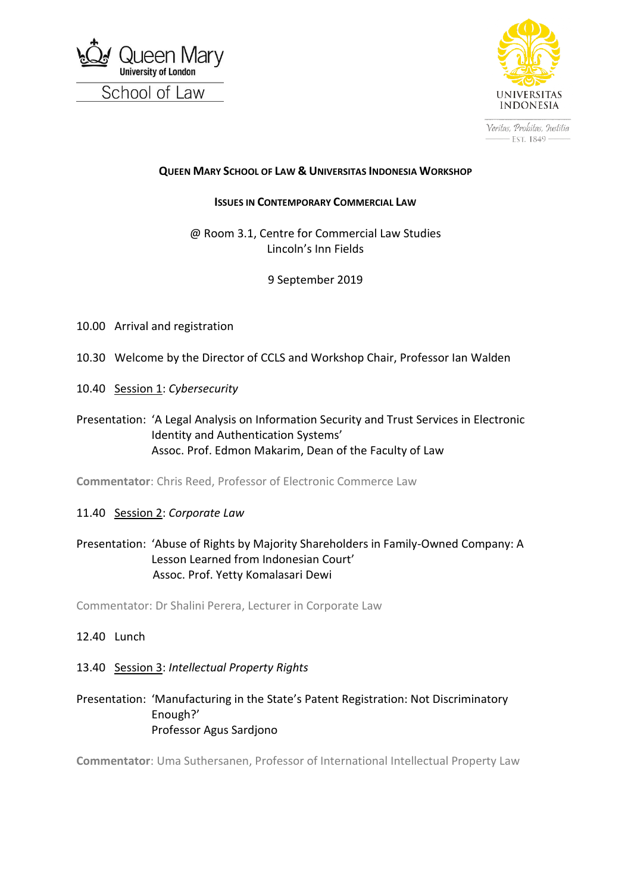



Veritas, Probitas, Justitia - Est. 1849 -

#### **QUEEN MARY SCHOOL OF LAW & UNIVERSITAS INDONESIA WORKSHOP**

#### **ISSUES IN CONTEMPORARY COMMERCIAL LAW**

@ Room 3.1, Centre for Commercial Law Studies Lincoln's Inn Fields

### 9 September 2019

- 10.00 Arrival and registration
- 10.30 Welcome by the Director of CCLS and Workshop Chair, Professor Ian Walden
- 10.40 Session 1: *Cybersecurity*
- Presentation: 'A Legal Analysis on Information Security and Trust Services in Electronic Identity and Authentication Systems' Assoc. Prof. Edmon Makarim, Dean of the Faculty of Law

**Commentator**: Chris Reed, Professor of Electronic Commerce Law

11.40 Session 2: *Corporate Law*

## Presentation: 'Abuse of Rights by Majority Shareholders in Family-Owned Company: A Lesson Learned from Indonesian Court' Assoc. Prof. Yetty Komalasari Dewi

Commentator: Dr Shalini Perera, Lecturer in Corporate Law

#### 12.40 Lunch

#### 13.40 Session 3: *Intellectual Property Rights*

### Presentation: 'Manufacturing in the State's Patent Registration: Not Discriminatory Enough?' Professor Agus Sardjono

**Commentator**: Uma Suthersanen, Professor of International Intellectual Property Law